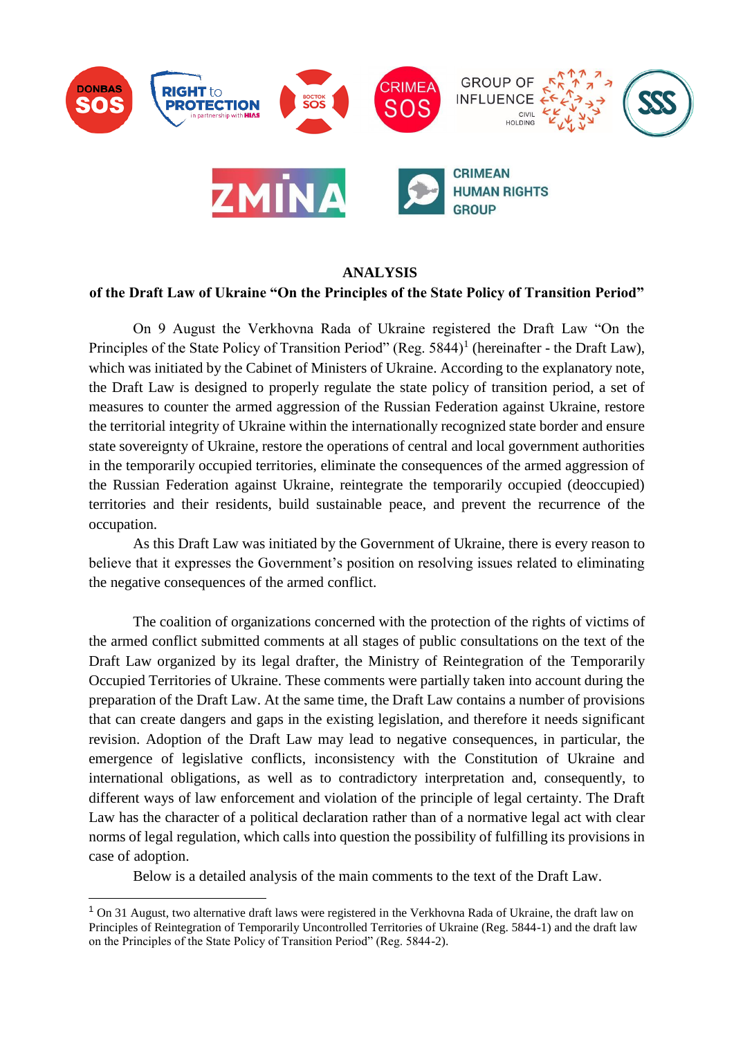

#### **ANALYSIS**

#### **of the Draft Law of Ukraine "On the Principles of the State Policy of Transition Period"**

On 9 August the Verkhovna Rada of Ukraine registered the Draft Law "On the Principles of the State Policy of Transition Period" (Reg.  $5844$ )<sup>1</sup> (hereinafter - the Draft Law), which was initiated by the Cabinet of Ministers of Ukraine. According to the explanatory note, the Draft Law is designed to properly regulate the state policy of transition period, a set of measures to counter the armed aggression of the Russian Federation against Ukraine, restore the territorial integrity of Ukraine within the internationally recognized state border and ensure state sovereignty of Ukraine, restore the operations of central and local government authorities in the temporarily occupied territories, eliminate the consequences of the armed aggression of the Russian Federation against Ukraine, reintegrate the temporarily occupied (deoccupied) territories and their residents, build sustainable peace, and prevent the recurrence of the occupation.

As this Draft Law was initiated by the Government of Ukraine, there is every reason to believe that it expresses the Government's position on resolving issues related to eliminating the negative consequences of the armed conflict.

The coalition of organizations concerned with the protection of the rights of victims of the armed conflict submitted comments at all stages of public consultations on the text of the Draft Law organized by its legal drafter, the Ministry of Reintegration of the Temporarily Occupied Territories of Ukraine. These comments were partially taken into account during the preparation of the Draft Law. At the same time, the Draft Law contains a number of provisions that can create dangers and gaps in the existing legislation, and therefore it needs significant revision. Adoption of the Draft Law may lead to negative consequences, in particular, the emergence of legislative conflicts, inconsistency with the Constitution of Ukraine and international obligations, as well as to contradictory interpretation and, consequently, to different ways of law enforcement and violation of the principle of legal certainty. The Draft Law has the character of a political declaration rather than of a normative legal act with clear norms of legal regulation, which calls into question the possibility of fulfilling its provisions in case of adoption.

Below is a detailed analysis of the main comments to the text of the Draft Law.

-

<sup>&</sup>lt;sup>1</sup> On 31 August, two alternative draft laws were registered in the Verkhovna Rada of Ukraine, the draft law on Principles of Reintegration of Temporarily Uncontrolled Territories of Ukraine (Reg. 5844-1) and the draft law on the Principles of the State Policy of Transition Period" (Reg. 5844-2).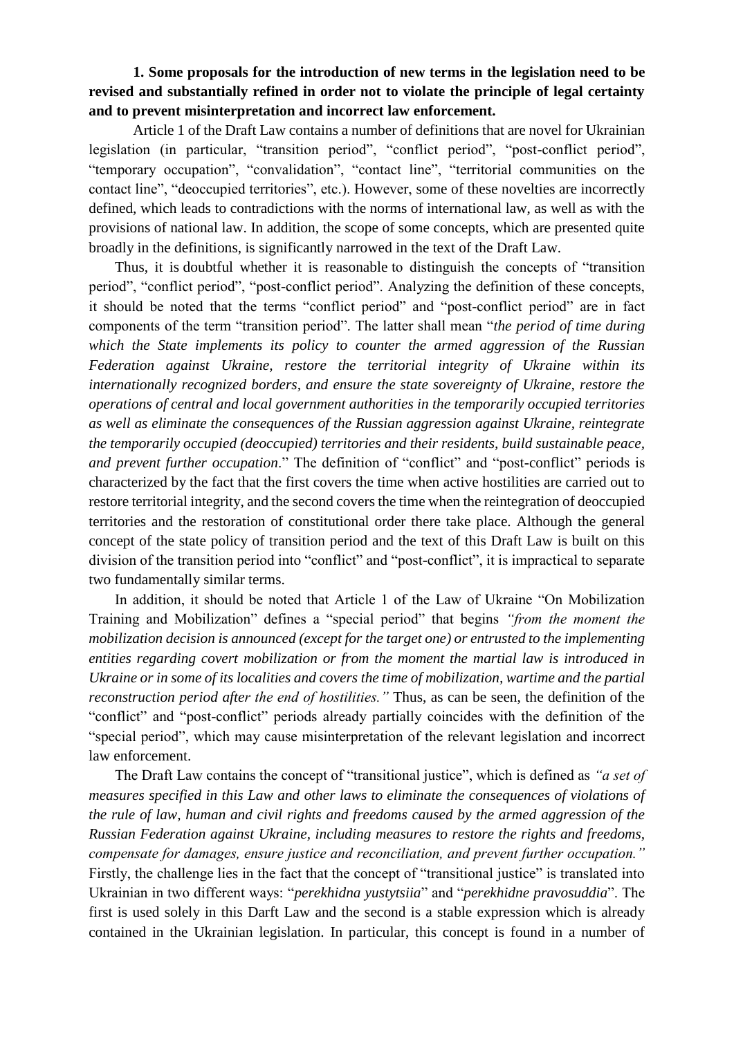# **1. Some proposals for the introduction of new terms in the legislation need to be revised and substantially refined in order not to violate the principle of legal certainty and to prevent misinterpretation and incorrect law enforcement.**

Article 1 of the Draft Law contains a number of definitions that are novel for Ukrainian legislation (in particular, "transition period", "conflict period", "post-conflict period", "temporary occupation", "convalidation", "contact line", "territorial communities on the contact line", "deoccupied territories", etc.). However, some of these novelties are incorrectly defined, which leads to contradictions with the norms of international law, as well as with the provisions of national law. In addition, the scope of some concepts, which are presented quite broadly in the definitions, is significantly narrowed in the text of the Draft Law.

Thus, it is [doubtful whether it is reasonable](https://context.reverso.net/%D0%BF%D0%B5%D1%80%D0%B5%D0%B2%D0%BE%D0%B4/%D0%B0%D0%BD%D0%B3%D0%BB%D0%B8%D0%B9%D1%81%D0%BA%D0%B8%D0%B9-%D1%80%D1%83%D1%81%D1%81%D0%BA%D0%B8%D0%B9/doubtful+whether+it+is+reasonable) to distinguish the concepts of "transition period", "conflict period", "post-conflict period". Analyzing the definition of these concepts, it should be noted that the terms "conflict period" and "post-conflict period" are in fact components of the term "transition period". The latter shall mean "*the period of time during which the State implements its policy to counter the armed aggression of the Russian Federation against Ukraine, restore the territorial integrity of Ukraine within its internationally recognized borders, and ensure the state sovereignty of Ukraine, restore the operations of central and local government authorities in the temporarily occupied territories as well as eliminate the consequences of the Russian aggression against Ukraine, reintegrate the temporarily occupied (deoccupied) territories and their residents, build sustainable peace, and prevent further occupation*." The definition of "conflict" and "post-conflict" periods is characterized by the fact that the first covers the time when active hostilities are carried out to restore territorial integrity, and the second covers the time when the reintegration of deoccupied territories and the restoration of constitutional order there take place. Although the general concept of the state policy of transition period and the text of this Draft Law is built on this division of the transition period into "conflict" and "post-conflict", it is impractical to separate two fundamentally similar terms.

In addition, it should be noted that Article 1 of the Law of Ukraine "On Mobilization Training and Mobilization" defines a "special period" that begins *"from the moment the mobilization decision is announced (except for the target one) or entrusted to the implementing entities regarding covert mobilization or from the moment the martial law is introduced in Ukraine or in some of its localities and covers the time of mobilization, wartime and the partial reconstruction period after the end of hostilities."* Thus, as can be seen, the definition of the "conflict" and "post-conflict" periods already partially coincides with the definition of the "special period", which may cause misinterpretation of the relevant legislation and incorrect law enforcement.

The Draft Law contains the concept of "transitional justice", which is defined as *"a set of measures specified in this Law and other laws to eliminate the consequences of violations of the rule of law, human and civil rights and freedoms caused by the armed aggression of the Russian Federation against Ukraine, including measures to restore the rights and freedoms, compensate for damages, ensure justice and reconciliation, and prevent further occupation."* Firstly, the challenge lies in the fact that the concept of "transitional justice" is translated into Ukrainian in two different ways: "*perekhidna yustytsiia*" and "*perekhidne pravosuddia*". The first is used solely in this Darft Law and the second is a stable expression which is already contained in the Ukrainian legislation. In particular, this concept is found in a number of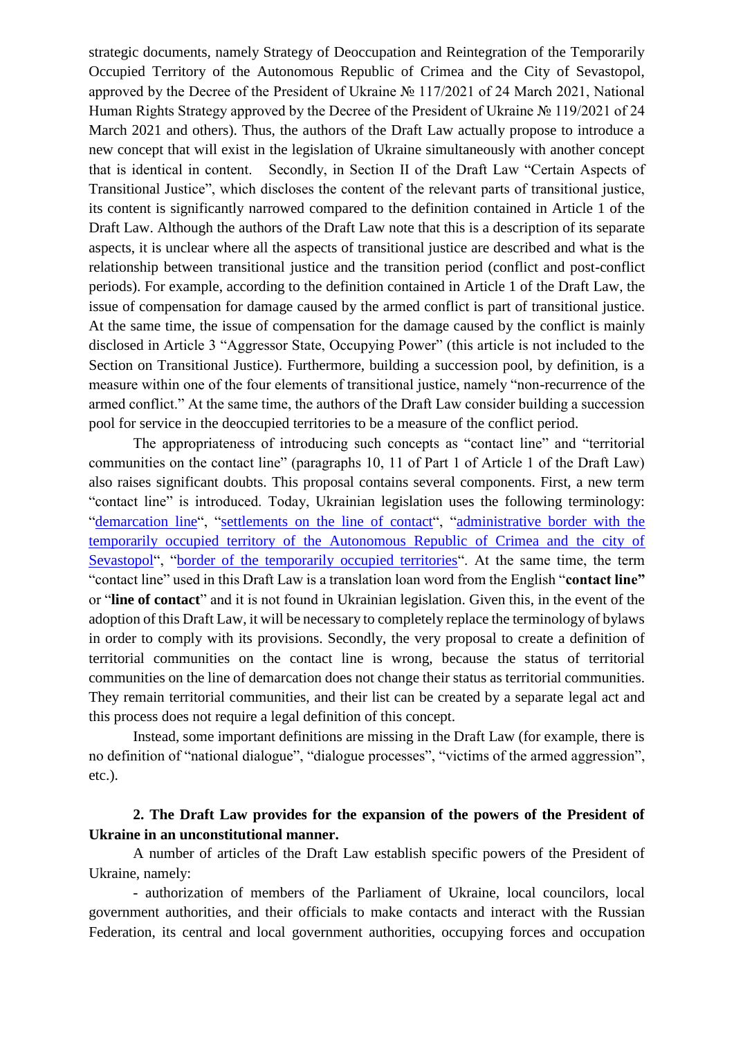strategic documents, namely Strategy of Deoccupation and Reintegration of the Temporarily Occupied Territory of the Autonomous Republic of Crimea and the City of Sevastopol, approved by the Decree of the President of Ukraine № 117/2021 of 24 March 2021, National Human Rights Strategy approved by the Decree of the President of Ukraine № 119/2021 of 24 March 2021 and others). Thus, the authors of the Draft Law actually propose to introduce a new concept that will exist in the legislation of Ukraine simultaneously with another concept that is identical in content. Secondly, in Section II of the Draft Law "Certain Aspects of Transitional Justice", which discloses the content of the relevant parts of transitional justice, its content is significantly narrowed compared to the definition contained in Article 1 of the Draft Law. Although the authors of the Draft Law note that this is a description of its separate aspects, it is unclear where all the aspects of transitional justice are described and what is the relationship between transitional justice and the transition period (conflict and post-conflict periods). For example, according to the definition contained in Article 1 of the Draft Law, the issue of compensation for damage caused by the armed conflict is part of transitional justice. At the same time, the issue of compensation for the damage caused by the conflict is mainly disclosed in Article 3 "Aggressor State, Occupying Power" (this article is not included to the Section on Transitional Justice). Furthermore, building a succession pool, by definition, is a measure within one of the four elements of transitional justice, namely "non-recurrence of the armed conflict." At the same time, the authors of the Draft Law consider building a succession pool for service in the deoccupied territories to be a measure of the conflict period.

The appropriateness of introducing such concepts as "contact line" and "territorial communities on the contact line" (paragraphs 10, 11 of Part 1 of Article 1 of the Draft Law) also raises significant doubts. This proposal contains several components. First, a new term "contact line" is introduced. Today, Ukrainian legislation uses the following terminology: ["demarcation line"](https://zakon.rada.gov.ua/laws/show/815-2019-%D0%BF#Text), ["settlements on the line of contact"](https://zakon.rada.gov.ua/laws/show/1085-2014-%D1%80#Text), ["administrative border with the](https://zakon.rada.gov.ua/laws/show/367-2015-%D0%BF#Text)  [temporarily occupied territory of the Autonomous Republic of Crimea and the city of](https://zakon.rada.gov.ua/laws/show/367-2015-%D0%BF#Text)  [Sevastopol"](https://zakon.rada.gov.ua/laws/show/367-2015-%D0%BF#Text), ["border of the temporarily occupied territories"](https://zakon.rada.gov.ua/laws/show/2268-19#Text). At the same time, the term "contact line" used in this Draft Law is a translation loan word from the English "**contact line"** or "**line of contact**" and it is not found in Ukrainian legislation. Given this, in the event of the adoption of this Draft Law, it will be necessary to completely replace the terminology of bylaws in order to comply with its provisions. Secondly, the very proposal to create a definition of territorial communities on the contact line is wrong, because the status of territorial communities on the line of demarcation does not change their status as territorial communities. They remain territorial communities, and their list can be created by a separate legal act and this process does not require a legal definition of this concept.

Instead, some important definitions are missing in the Draft Law (for example, there is no definition of "national dialogue", "dialogue processes", "victims of the armed aggression", etc.).

## **2. The Draft Law provides for the expansion of the powers of the President of Ukraine in an unconstitutional manner.**

A number of articles of the Draft Law establish specific powers of the President of Ukraine, namely:

- authorization of members of the Parliament of Ukraine, local councilors, local government authorities, and their officials to make contacts and interact with the Russian Federation, its central and local government authorities, occupying forces and occupation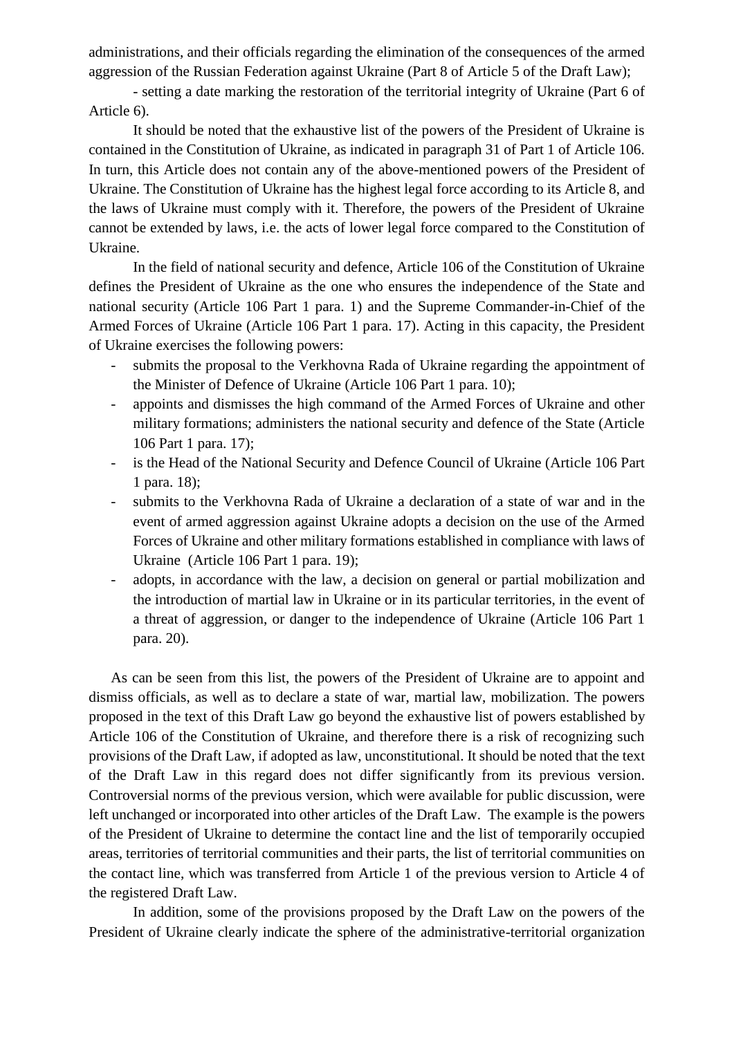administrations, and their officials regarding the elimination of the consequences of the armed aggression of the Russian Federation against Ukraine (Part 8 of Article 5 of the Draft Law);

- setting a date marking the restoration of the territorial integrity of Ukraine (Part 6 of Article 6).

It should be noted that the exhaustive list of the powers of the President of Ukraine is contained in the Constitution of Ukraine, as indicated in paragraph 31 of Part 1 of Article 106. In turn, this Article does not contain any of the above-mentioned powers of the President of Ukraine. The Constitution of Ukraine has the highest legal force according to its Article 8, and the laws of Ukraine must comply with it. Therefore, the powers of the President of Ukraine cannot be extended by laws, i.e. the acts of lower legal force compared to the Constitution of Ukraine.

In the field of national security and defence, Article 106 of the Constitution of Ukraine defines the President of Ukraine as the one who ensures the independence of the State and national security (Article 106 Part 1 para. 1) and the Supreme Commander-in-Chief of the Armed Forces of Ukraine (Article 106 Part 1 para. 17). Acting in this capacity, the President of Ukraine exercises the following powers:

- submits the proposal to the Verkhovna Rada of Ukraine regarding the appointment of the Minister of Defence of Ukraine (Article 106 Part 1 para. 10);
- appoints and dismisses the high command of the Armed Forces of Ukraine and other military formations; administers the national security and defence of the State (Article 106 Part 1 para. 17);
- is the Head of the National Security and Defence Council of Ukraine (Article 106 Part 1 para. 18);
- submits to the Verkhovna Rada of Ukraine a declaration of a state of war and in the event of armed aggression against Ukraine adopts a decision on the use of the Armed Forces of Ukraine and other military formations established in compliance with laws of Ukraine (Article 106 Part 1 para. 19);
- adopts, in accordance with the law, a decision on general or partial mobilization and the introduction of martial law in Ukraine or in its particular territories, in the event of a threat of aggression, or danger to the independence of Ukraine (Article 106 Part 1 para. 20).

As can be seen from this list, the powers of the President of Ukraine are to appoint and dismiss officials, as well as to declare a state of war, martial law, mobilization. The powers proposed in the text of this Draft Law go beyond the exhaustive list of powers established by Article 106 of the Constitution of Ukraine, and therefore there is a risk of recognizing such provisions of the Draft Law, if adopted as law, unconstitutional. It should be noted that the text of the Draft Law in this regard does not differ significantly from its previous version. Controversial norms of the previous version, which were available for public discussion, were left unchanged or incorporated into other articles of the Draft Law. The example is the powers of the President of Ukraine to determine the contact line and the list of temporarily occupied areas, territories of territorial communities and their parts, the list of territorial communities on the contact line, which was transferred from Article 1 of the previous version to Article 4 of the registered Draft Law.

In addition, some of the provisions proposed by the Draft Law on the powers of the President of Ukraine clearly indicate the sphere of the administrative-territorial organization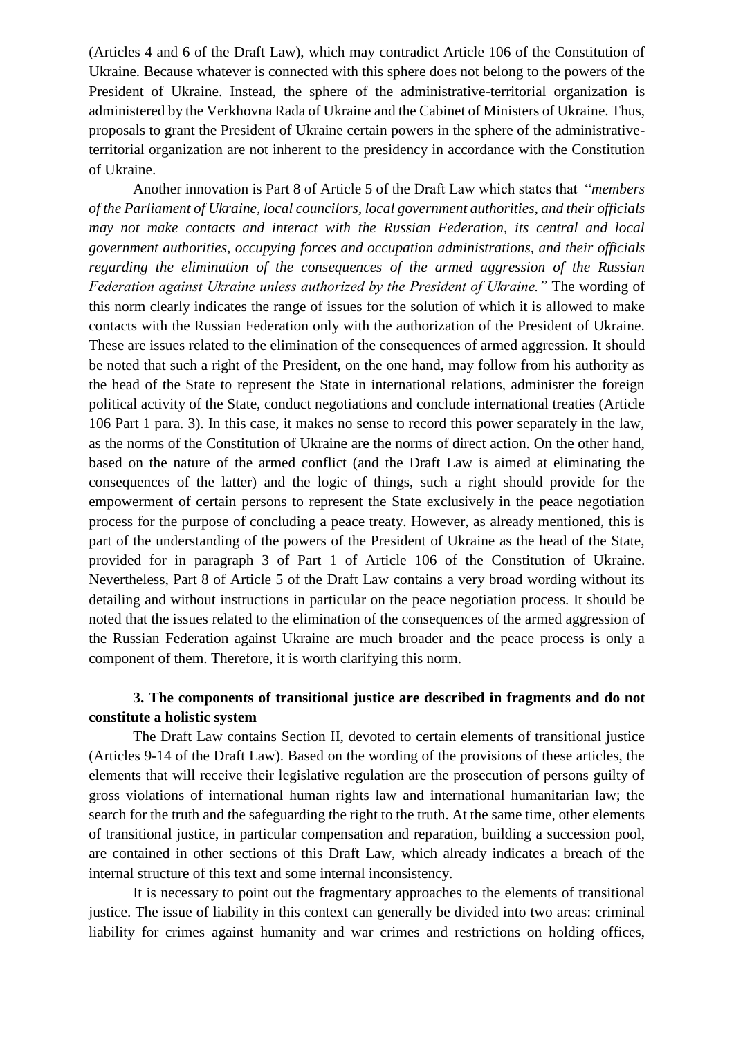(Articles 4 and 6 of the Draft Law), which may contradict Article 106 of the Constitution of Ukraine. Because whatever is connected with this sphere does not belong to the powers of the President of Ukraine. Instead, the sphere of the administrative-territorial organization is administered by the Verkhovna Rada of Ukraine and the Cabinet of Ministers of Ukraine. Thus, proposals to grant the President of Ukraine certain powers in the sphere of the administrativeterritorial organization are not inherent to the presidency in accordance with the Constitution of Ukraine.

Another innovation is Part 8 of Article 5 of the Draft Law which states that "*members of the Parliament of Ukraine, local councilors, local government authorities, and their officials may not make contacts and interact with the Russian Federation, its central and local government authorities, occupying forces and occupation administrations, and their officials regarding the elimination of the consequences of the armed aggression of the Russian Federation against Ukraine unless authorized by the President of Ukraine."* The wording of this norm clearly indicates the range of issues for the solution of which it is allowed to make contacts with the Russian Federation only with the authorization of the President of Ukraine. These are issues related to the elimination of the consequences of armed aggression. It should be noted that such a right of the President, on the one hand, may follow from his authority as the head of the State to represent the State in international relations, administer the foreign political activity of the State, conduct negotiations and conclude international treaties (Article 106 Part 1 para. 3). In this case, it makes no sense to record this power separately in the law, as the norms of the Constitution of Ukraine are the norms of direct action. On the other hand, based on the nature of the armed conflict (and the Draft Law is aimed at eliminating the consequences of the latter) and the logic of things, such a right should provide for the empowerment of certain persons to represent the State exclusively in the peace negotiation process for the purpose of concluding a peace treaty. However, as already mentioned, this is part of the understanding of the powers of the President of Ukraine as the head of the State, provided for in paragraph 3 of Part 1 of Article 106 of the Constitution of Ukraine. Nevertheless, Part 8 of Article 5 of the Draft Law contains a very broad wording without its detailing and without instructions in particular on the peace negotiation process. It should be noted that the issues related to the elimination of the consequences of the armed aggression of the Russian Federation against Ukraine are much broader and the peace process is only a component of them. Therefore, it is worth clarifying this norm.

## **3. The components of transitional justice are described in fragments and do not constitute a holistic system**

The Draft Law contains Section II, devoted to certain elements of transitional justice (Articles 9-14 of the Draft Law). Based on the wording of the provisions of these articles, the elements that will receive their legislative regulation are the prosecution of persons guilty of gross violations of international human rights law and international humanitarian law; the search for the truth and the safeguarding the right to the truth. At the same time, other elements of transitional justice, in particular compensation and reparation, building a succession pool, are contained in other sections of this Draft Law, which already indicates a breach of the internal structure of this text and some internal inconsistency.

It is necessary to point out the fragmentary approaches to the elements of transitional justice. The issue of liability in this context can generally be divided into two areas: criminal liability for crimes against humanity and war crimes and restrictions on holding offices,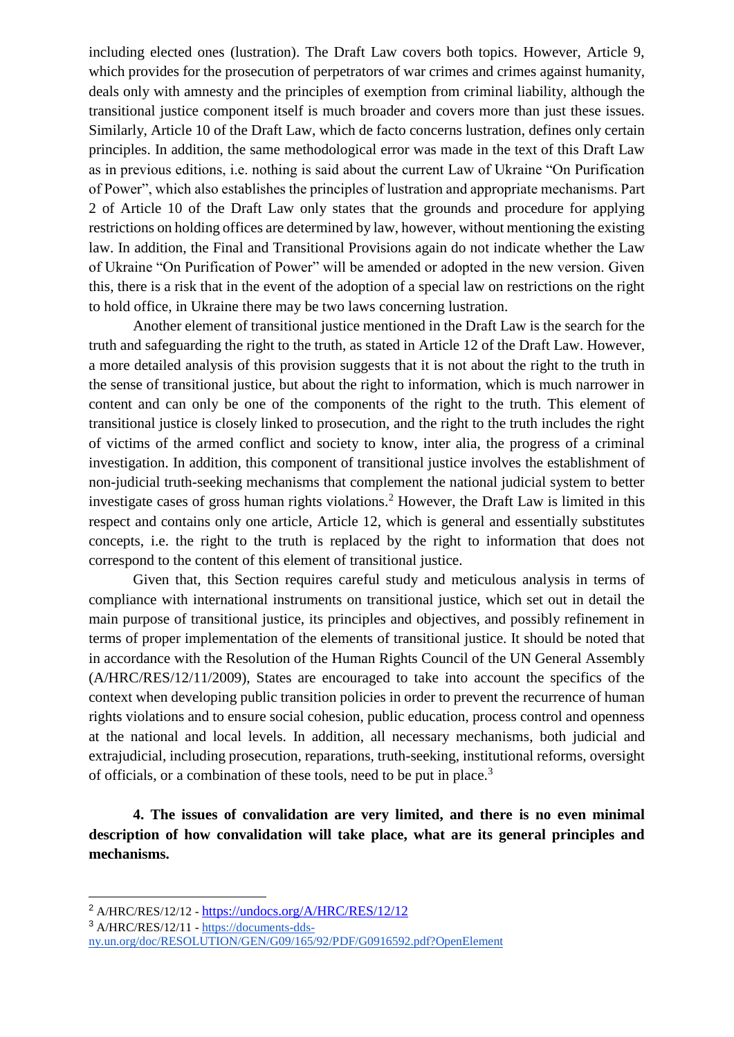including elected ones (lustration). The Draft Law covers both topics. However, Article 9, which provides for the prosecution of perpetrators of war crimes and crimes against humanity, deals only with amnesty and the principles of exemption from criminal liability, although the transitional justice component itself is much broader and covers more than just these issues. Similarly, Article 10 of the Draft Law, which de facto concerns lustration, defines only certain principles. In addition, the same methodological error was made in the text of this Draft Law as in previous editions, i.e. nothing is said about the current Law of Ukraine "On Purification of Power", which also establishes the principles of lustration and appropriate mechanisms. Part 2 of Article 10 of the Draft Law only states that the grounds and procedure for applying restrictions on holding offices are determined by law, however, without mentioning the existing law. In addition, the Final and Transitional Provisions again do not indicate whether the Law of Ukraine "On Purification of Power" will be amended or adopted in the new version. Given this, there is a risk that in the event of the adoption of a special law on restrictions on the right to hold office, in Ukraine there may be two laws concerning lustration.

Another element of transitional justice mentioned in the Draft Law is the search for the truth and safeguarding the right to the truth, as stated in Article 12 of the Draft Law. However, a more detailed analysis of this provision suggests that it is not about the right to the truth in the sense of transitional justice, but about the right to information, which is much narrower in content and can only be one of the components of the right to the truth. This element of transitional justice is closely linked to prosecution, and the right to the truth includes the right of victims of the armed conflict and society to know, inter alia, the progress of a criminal investigation. In addition, this component of transitional justice involves the establishment of non-judicial truth-seeking mechanisms that complement the national judicial system to better investigate cases of gross human rights violations.<sup>2</sup> However, the Draft Law is limited in this respect and contains only one article, Article 12, which is general and essentially substitutes concepts, i.e. the right to the truth is replaced by the right to information that does not correspond to the content of this element of transitional justice.

Given that, this Section requires careful study and meticulous analysis in terms of compliance with international instruments on transitional justice, which set out in detail the main purpose of transitional justice, its principles and objectives, and possibly refinement in terms of proper implementation of the elements of transitional justice. It should be noted that in accordance with the Resolution of the Human Rights Council of the UN General Assembly (A/HRC/RES/12/11/2009), States are encouraged to take into account the specifics of the context when developing public transition policies in order to prevent the recurrence of human rights violations and to ensure social cohesion, public education, process control and openness at the national and local levels. In addition, all necessary mechanisms, both judicial and extrajudicial, including prosecution, reparations, truth-seeking, institutional reforms, oversight of officials, or a combination of these tools, need to be put in place.<sup>3</sup>

**4. The issues of convalidation are very limited, and there is no even minimal description of how convalidation will take place, what are its general principles and mechanisms.**

-

<sup>2</sup> A/HRC/RES/12/12 - <https://undocs.org/A/HRC/RES/12/12>

<sup>3</sup> A/HRC/RES/12/11 - [https://documents-dds-](https://documents-dds-ny.un.org/doc/RESOLUTION/GEN/G09/165/92/PDF/G0916592.pdf?OpenElement)

[ny.un.org/doc/RESOLUTION/GEN/G09/165/92/PDF/G0916592.pdf?OpenElement](https://documents-dds-ny.un.org/doc/RESOLUTION/GEN/G09/165/92/PDF/G0916592.pdf?OpenElement)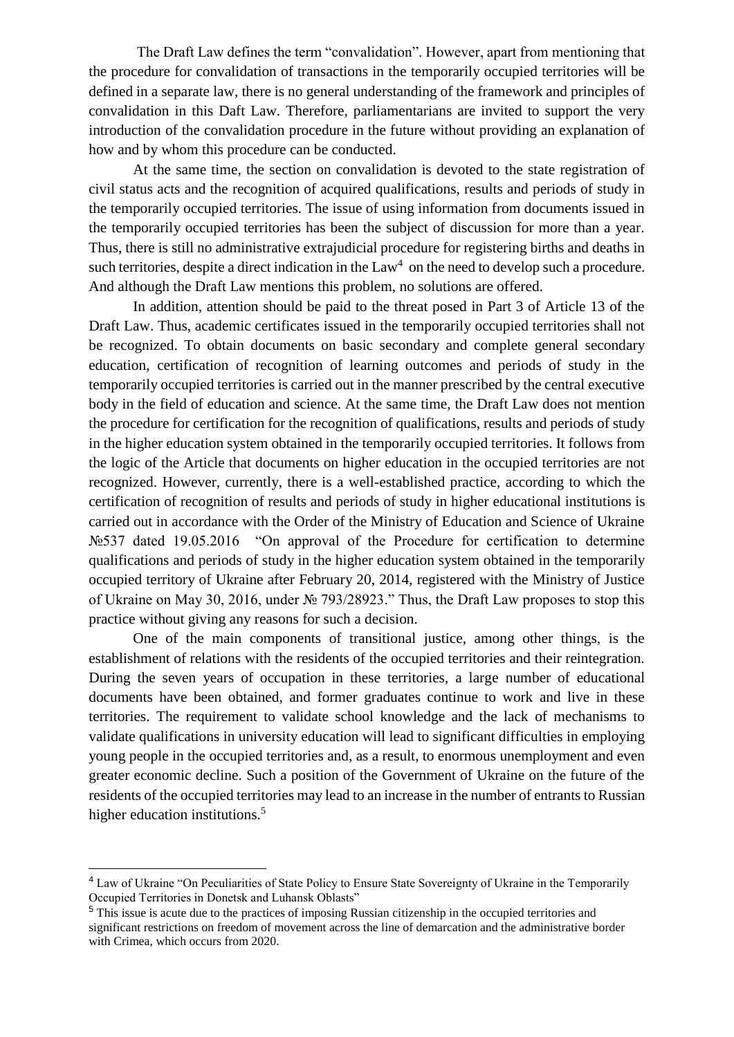The Draft Law defines the term "convalidation". However, apart from mentioning that the procedure for convalidation of transactions in the temporarily occupied territories will be defined in a separate law, there is no general understanding of the framework and principles of convalidation in this Daft Law. Therefore, parliamentarians are invited to support the very introduction of the convalidation procedure in the future without providing an explanation of how and by whom this procedure can be conducted.

At the same time, the section on convalidation is devoted to the state registration of civil status acts and the recognition of acquired qualifications, results and periods of study in the temporarily occupied territories. The issue of using information from documents issued in the temporarily occupied territories has been the subject of discussion for more than a year. Thus, there is still no administrative extrajudicial procedure for registering births and deaths in such territories, despite a direct indication in the  $Law<sup>4</sup>$  on the need to develop such a procedure. And although the Draft Law mentions this problem, no solutions are offered.

In addition, attention should be paid to the threat posed in Part 3 of Article 13 of the Draft Law. Thus, academic certificates issued in the temporarily occupied territories shall not be recognized. To obtain documents on basic secondary and complete general secondary education, certification of recognition of learning outcomes and periods of study in the temporarily occupied territories is carried out in the manner prescribed by the central executive body in the field of education and science. At the same time, the Draft Law does not mention the procedure for certification for the recognition of qualifications, results and periods of study in the higher education system obtained in the temporarily occupied territories. It follows from the logic of the Article that documents on higher education in the occupied territories are not recognized. However, currently, there is a well-established practice, according to which the certification of recognition of results and periods of study in higher educational institutions is carried out in accordance with the Order of the Ministry of Education and Science of Ukraine №537 dated 19.05.2016 "On approval of the Procedure for certification to determine qualifications and periods of study in the higher education system obtained in the temporarily occupied territory of Ukraine after February 20, 2014, registered with the Ministry of Justice of Ukraine on May 30, 2016, under № 793/28923." Thus, the Draft Law proposes to stop this practice without giving any reasons for such a decision.

One of the main components of transitional justice, among other things, is the establishment of relations with the residents of the occupied territories and their reintegration. During the seven years of occupation in these territories, a large number of educational documents have been obtained, and former graduates continue to work and live in these territories. The requirement to validate school knowledge and the lack of mechanisms to validate qualifications in university education will lead to significant difficulties in employing young people in the occupied territories and, as a result, to enormous unemployment and even greater economic decline. Such a position of the Government of Ukraine on the future of the residents of the occupied territories may lead to an increase in the number of entrants to Russian higher education institutions.<sup>5</sup>

-

<sup>&</sup>lt;sup>4</sup> Law of Ukraine "On Peculiarities of State Policy to Ensure State Sovereignty of Ukraine in the Temporarily Occupied Territories in Donetsk and Luhansk Oblasts"

<sup>5</sup> This issue is acute due to the practices of imposing Russian citizenship in the occupied territories and significant restrictions on freedom of movement across the line of demarcation and the administrative border with Crimea, which occurs from 2020.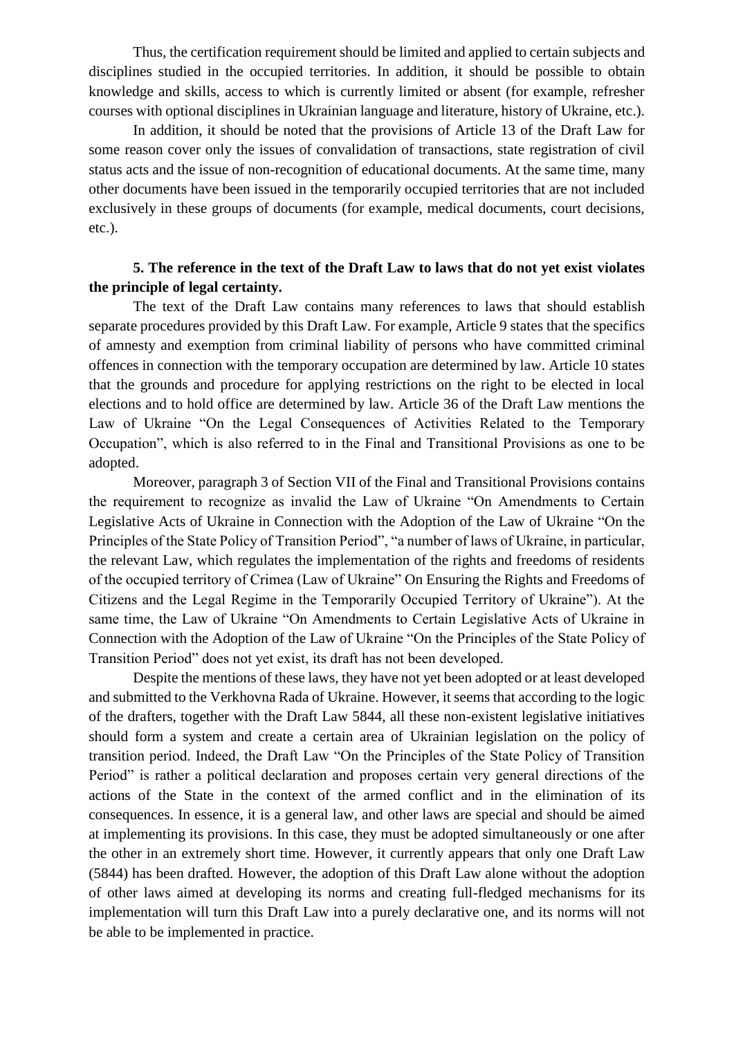Thus, the certification requirement should be limited and applied to certain subjects and disciplines studied in the occupied territories. In addition, it should be possible to obtain knowledge and skills, access to which is currently limited or absent (for example, refresher courses with optional disciplines in Ukrainian language and literature, history of Ukraine, etc.).

In addition, it should be noted that the provisions of Article 13 of the Draft Law for some reason cover only the issues of convalidation of transactions, state registration of civil status acts and the issue of non-recognition of educational documents. At the same time, many other documents have been issued in the temporarily occupied territories that are not included exclusively in these groups of documents (for example, medical documents, court decisions, etc.).

# **5. The reference in the text of the Draft Law to laws that do not yet exist violates the principle of legal certainty.**

The text of the Draft Law contains many references to laws that should establish separate procedures provided by this Draft Law. For example, Article 9 states that the specifics of amnesty and exemption from criminal liability of persons who have committed criminal offences in connection with the temporary occupation are determined by law. Article 10 states that the grounds and procedure for applying restrictions on the right to be elected in local elections and to hold office are determined by law. Article 36 of the Draft Law mentions the Law of Ukraine "On the Legal Consequences of Activities Related to the Temporary Occupation", which is also referred to in the Final and Transitional Provisions as one to be adopted.

Moreover, paragraph 3 of Section VII of the Final and Transitional Provisions contains the requirement to recognize as invalid the Law of Ukraine "On Amendments to Certain Legislative Acts of Ukraine in Connection with the Adoption of the Law of Ukraine "On the Principles of the State Policy of Transition Period", "a number of laws of Ukraine, in particular, the relevant Law, which regulates the implementation of the rights and freedoms of residents of the occupied territory of Crimea (Law of Ukraine" On Ensuring the Rights and Freedoms of Citizens and the Legal Regime in the Temporarily Occupied Territory of Ukraine"). At the same time, the Law of Ukraine "On Amendments to Certain Legislative Acts of Ukraine in Connection with the Adoption of the Law of Ukraine "On the Principles of the State Policy of Transition Period" does not yet exist, its draft has not been developed.

Despite the mentions of these laws, they have not yet been adopted or at least developed and submitted to the Verkhovna Rada of Ukraine. However, it seems that according to the logic of the drafters, together with the Draft Law 5844, all these non-existent legislative initiatives should form a system and create a certain area of Ukrainian legislation on the policy of transition period. Indeed, the Draft Law "On the Principles of the State Policy of Transition Period" is rather a political declaration and proposes certain very general directions of the actions of the State in the context of the armed conflict and in the elimination of its consequences. In essence, it is a general law, and other laws are special and should be aimed at implementing its provisions. In this case, they must be adopted simultaneously or one after the other in an extremely short time. However, it currently appears that only one Draft Law (5844) has been drafted. However, the adoption of this Draft Law alone without the adoption of other laws aimed at developing its norms and creating full-fledged mechanisms for its implementation will turn this Draft Law into a purely declarative one, and its norms will not be able to be implemented in practice.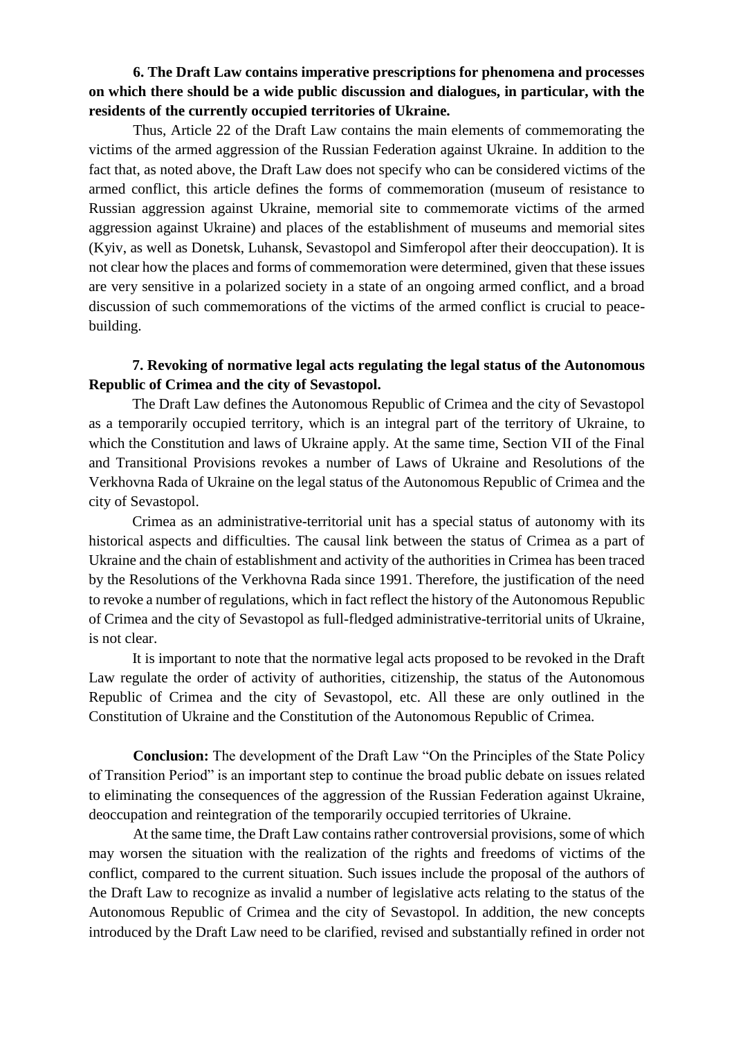**6. The Draft Law contains imperative prescriptions for phenomena and processes on which there should be a wide public discussion and dialogues, in particular, with the residents of the currently occupied territories of Ukraine.**

Thus, Article 22 of the Draft Law contains the main elements of commemorating the victims of the armed aggression of the Russian Federation against Ukraine. In addition to the fact that, as noted above, the Draft Law does not specify who can be considered victims of the armed conflict, this article defines the forms of commemoration (museum of resistance to Russian aggression against Ukraine, memorial site to commemorate victims of the armed aggression against Ukraine) and places of the establishment of museums and memorial sites (Kyiv, as well as Donetsk, Luhansk, Sevastopol and Simferopol after their deoccupation). It is not clear how the places and forms of commemoration were determined, given that these issues are very sensitive in a polarized society in a state of an ongoing armed conflict, and a broad discussion of such commemorations of the victims of the armed conflict is crucial to peacebuilding.

### **7. Revoking of normative legal acts regulating the legal status of the Autonomous Republic of Crimea and the city of Sevastopol.**

The Draft Law defines the Autonomous Republic of Crimea and the city of Sevastopol as a temporarily occupied territory, which is an integral part of the territory of Ukraine, to which the Constitution and laws of Ukraine apply. At the same time, Section VII of the Final and Transitional Provisions revokes a number of Laws of Ukraine and Resolutions of the Verkhovna Rada of Ukraine on the legal status of the Autonomous Republic of Crimea and the city of Sevastopol.

Crimea as an administrative-territorial unit has a special status of autonomy with its historical aspects and difficulties. The causal link between the status of Crimea as a part of Ukraine and the chain of establishment and activity of the authorities in Crimea has been traced by the Resolutions of the Verkhovna Rada since 1991. Therefore, the justification of the need to revoke a number of regulations, which in fact reflect the history of the Autonomous Republic of Crimea and the city of Sevastopol as full-fledged administrative-territorial units of Ukraine, is not clear.

It is important to note that the normative legal acts proposed to be revoked in the Draft Law regulate the order of activity of authorities, citizenship, the status of the Autonomous Republic of Crimea and the city of Sevastopol, etc. All these are only outlined in the Constitution of Ukraine and the Constitution of the Autonomous Republic of Crimea.

**Conclusion:** The development of the Draft Law "On the Principles of the State Policy of Transition Period" is an important step to continue the broad public debate on issues related to eliminating the consequences of the aggression of the Russian Federation against Ukraine, deoccupation and reintegration of the temporarily occupied territories of Ukraine.

At the same time, the Draft Law contains rather controversial provisions, some of which may worsen the situation with the realization of the rights and freedoms of victims of the conflict, compared to the current situation. Such issues include the proposal of the authors of the Draft Law to recognize as invalid a number of legislative acts relating to the status of the Autonomous Republic of Crimea and the city of Sevastopol. In addition, the new concepts introduced by the Draft Law need to be clarified, revised and substantially refined in order not